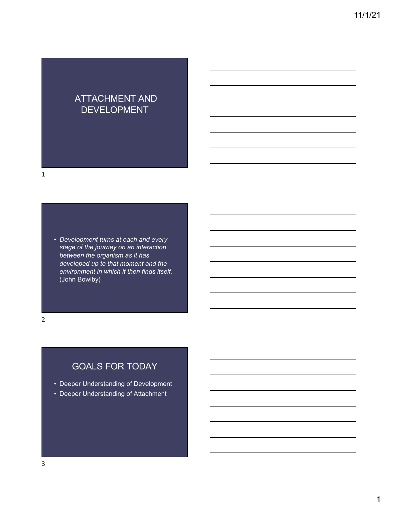# ATTACHMENT AND DEVELOPMENT

• *Development turns at each and every stage of the journey on an interaction between the organism as it has developed up to that moment and the environment in which it then finds itself.*  (John Bowlby)

2

# GOALS FOR TODAY

- Deeper Understanding of Development
- Deeper Understanding of Attachment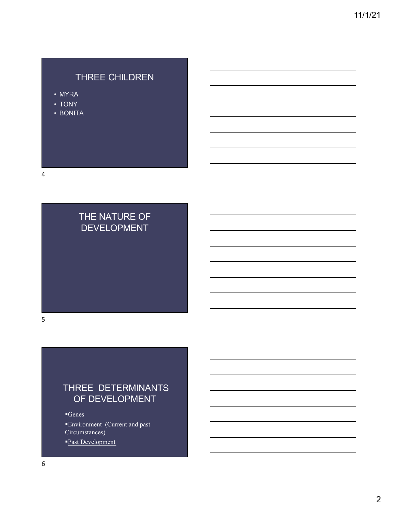# THREE CHILDREN

- MYRA
- TONY
- BONITA

4

# THE NATURE OF **DEVELOPMENT**

5

# THREE DETERMINANTS OF DEVELOPMENT

■Genes

§Environment (Current and past Circumstances) ■Past Development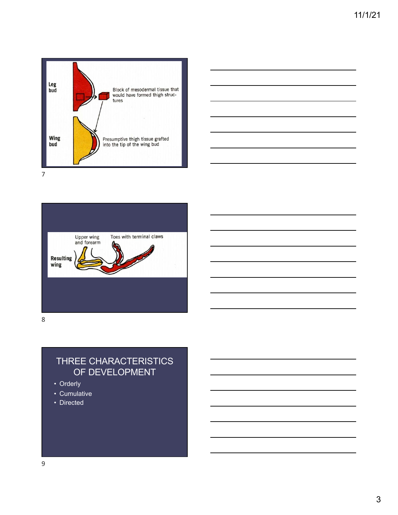



7



8

# THREE CHARACTERISTICS OF DEVELOPMENT

- Orderly
- Cumulative
- Directed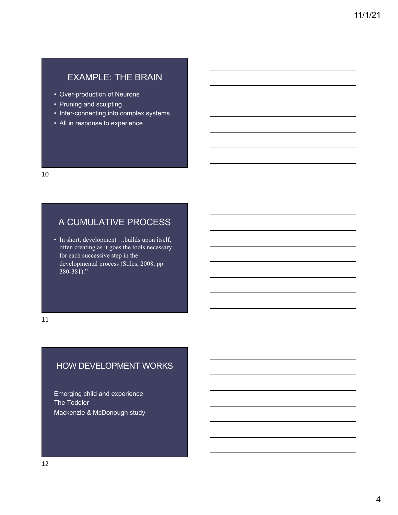# EXAMPLE: THE BRAIN

- Over-production of Neurons
- Pruning and sculpting
- Inter-connecting into complex systems
- All in response to experience

10

# A CUMULATIVE PROCESS

• In short, development …builds upon itself, often creating as it goes the tools necessary for each successive step in the developmental process (Stiles, 2008, pp 380-381)."

11

# HOW DEVELOPMENT WORKS

Emerging child and experience The Toddler Mackenzie & McDonough study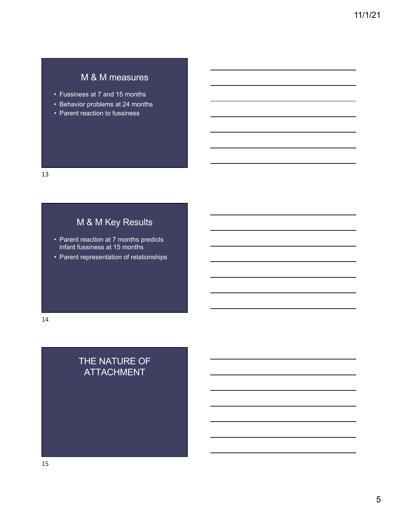# M & M measures

- Fussiness at 7 and 15 months
- Behavior problems at 24 months
- Parent reaction to fussiness

13

# M & M Key Results

- Parent reaction at 7 months predicts infant fussiness at 15 months
- Parent representation of relationships

14

# THE NATURE OF ATTACHMENT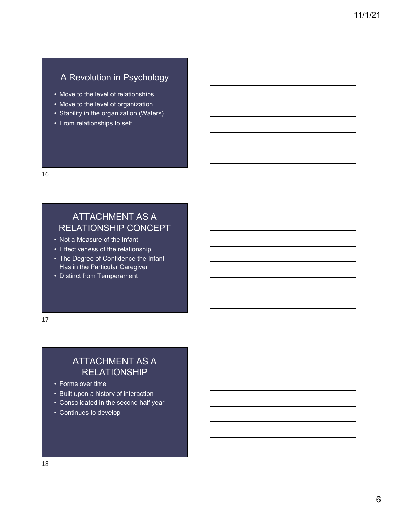# A Revolution in Psychology

- Move to the level of relationships
- Move to the level of organization
- Stability in the organization (Waters)
- From relationships to self

16

# ATTACHMENT AS A RELATIONSHIP CONCEPT

- Not a Measure of the Infant
- Effectiveness of the relationship
- The Degree of Confidence the Infant Has in the Particular Caregiver
- Distinct from Temperament

17

# ATTACHMENT AS A RELATIONSHIP

- Forms over time
- Built upon a history of interaction
- Consolidated in the second half year
- Continues to develop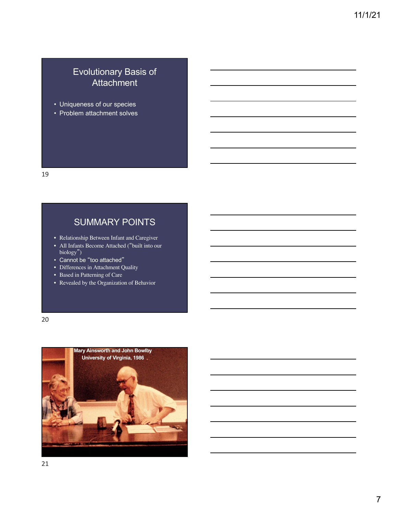# Evolutionary Basis of **Attachment**

- Uniqueness of our species
- Problem attachment solves

19

# SUMMARY POINTS

- Relationship Between Infant and Caregiver
- All Infants Become Attached ("built into our biology")
- Cannot be "too attached"
- Differences in Attachment Quality
- Based in Patterning of Care
- Revealed by the Organization of Behavior

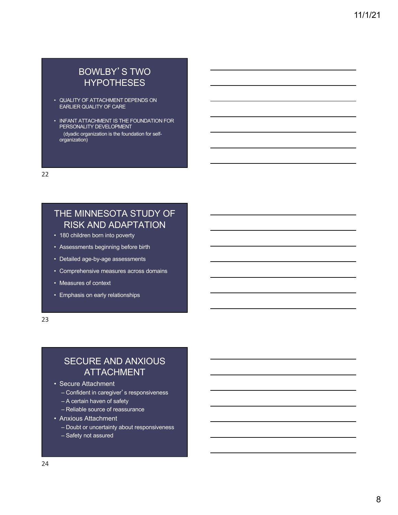# BOWLBY'S TWO **HYPOTHESES**

- QUALITY OF ATTACHMENT DEPENDS ON EARLIER QUALITY OF CARE
- INFANT ATTACHMENT IS THE FOUNDATION FOR PERSONALITY DEVELOPMENT (dyadic organization is the foundation for selforganization)

22

# THE MINNESOTA STUDY OF RISK AND ADAPTATION

- 180 children born into poverty
- Assessments beginning before birth
- Detailed age-by-age assessments
- Comprehensive measures across domains
- Measures of context
- Emphasis on early relationships

23

# SECURE AND ANXIOUS ATTACHMENT

- Secure Attachment
	- Confident in caregiver's responsiveness
	- A certain haven of safety
	- Reliable source of reassurance
- Anxious Attachment
	- Doubt or uncertainty about responsiveness
	- Safety not assured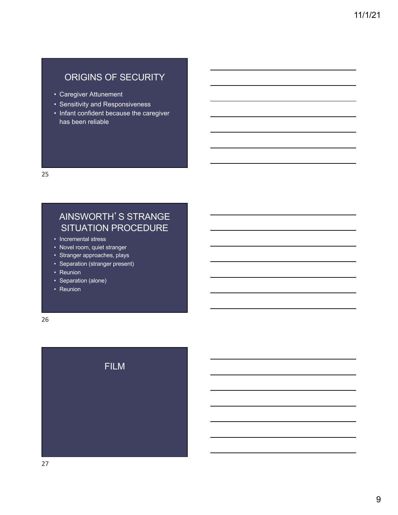# ORIGINS OF SECURITY

- Caregiver Attunement
- Sensitivity and Responsiveness
- Infant confident because the caregiver has been reliable

25

# AINSWORTH'S STRANGE SITUATION PROCEDURE

- Incremental stress
- Novel room, quiet stranger
- Stranger approaches, plays
- Separation (stranger present)
- Reunion
- Separation (alone)
- Reunion

26

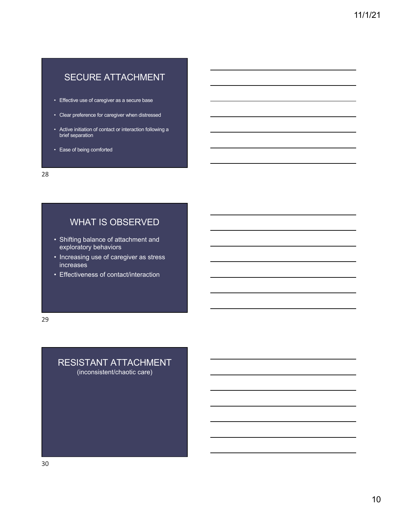# SECURE ATTACHMENT

- Effective use of caregiver as a secure base
- Clear preference for caregiver when distressed
- Active initiation of contact or interaction following a brief separation
- Ease of being comforted

28

# WHAT IS OBSERVED

- Shifting balance of attachment and exploratory behaviors
- Increasing use of caregiver as stress increases
- Effectiveness of contact/interaction

29

# RESISTANT ATTACHMENT

(inconsistent/chaotic care)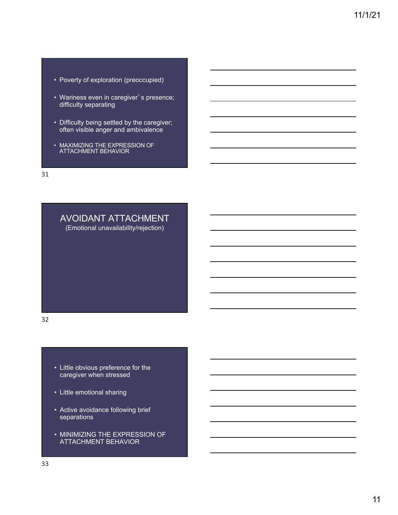- Poverty of exploration (preoccupied)
- Wariness even in caregiver's presence; difficulty separating
- Difficulty being settled by the caregiver; often visible anger and ambivalence
- MAXIMIZING THE EXPRESSION OF ATTACHMENT BEHAVIOR

31



- Little obvious preference for the caregiver when stressed
- Little emotional sharing
- Active avoidance following brief separations
- MINIMIZING THE EXPRESSION OF ATTACHMENT BEHAVIOR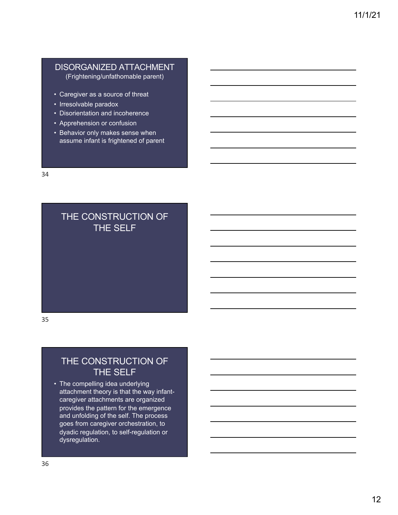# DISORGANIZED ATTACHMENT

(Frightening/unfathomable parent)

- Caregiver as a source of threat
- Irresolvable paradox
- Disorientation and incoherence
- Apprehension or confusion
- Behavior only makes sense when assume infant is frightened of parent

34

# THE CONSTRUCTION OF THE SELF

35

# THE CONSTRUCTION OF THE SELF

• The compelling idea underlying attachment theory is that the way infantcaregiver attachments are organized provides the pattern for the emergence and unfolding of the self. The process goes from caregiver orchestration, to dyadic regulation, to self-regulation or dysregulation.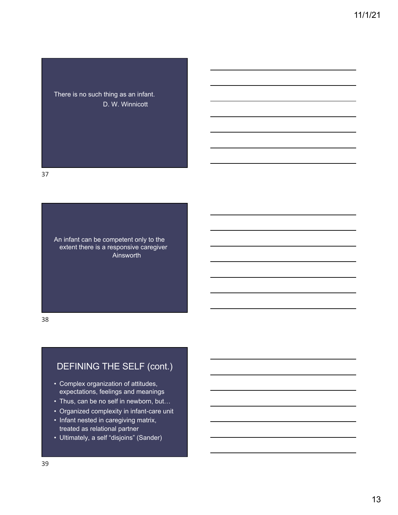There is no such thing as an infant. D. W. Winnicott

37

An infant can be competent only to the extent there is a responsive caregiver Ainsworth

38

# DEFINING THE SELF (cont.)

- Complex organization of attitudes, expectations, feelings and meanings
- Thus, can be no self in newborn, but…
- Organized complexity in infant-care unit
- Infant nested in caregiving matrix, treated as relational partner
- Ultimately, a self "disjoins" (Sander)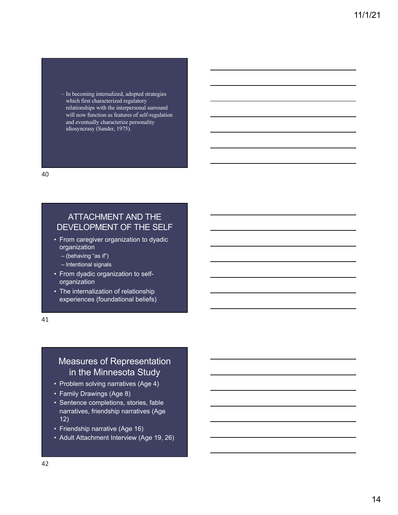– In becoming internalized, adopted strategies which first characterized regulatory relationships with the interpersonal surround will now function as features of self-regulation and eventually characterize personality idiosyncrasy (Sander, 1975).

40

## ATTACHMENT AND THE DEVELOPMENT OF THE SELF

- From caregiver organization to dyadic organization – (behaving "as if")
	- Intentional signals
- From dyadic organization to selforganization
- The internalization of relationship experiences (foundational beliefs)

41

# Measures of Representation in the Minnesota Study

- Problem solving narratives (Age 4)
- Family Drawings (Age 8)
- Sentence completions, stories, fable narratives, friendship narratives (Age 12)
- Friendship narrative (Age 16)
- Adult Attachment Interview (Age 19, 26)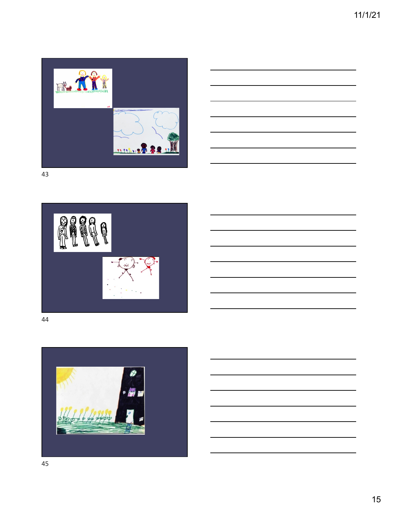





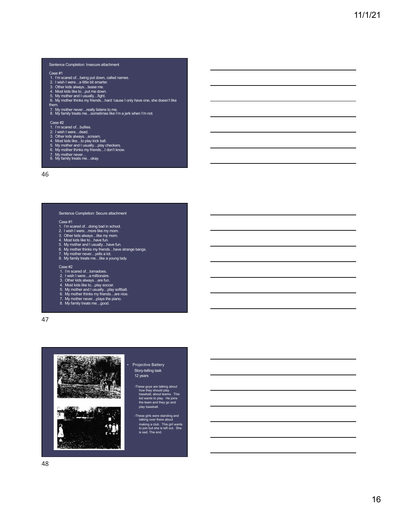# Sentence Completion: Insecure attachment

- 
- Case #1 1. I'm scared of…being put down, called names. 2. I wish I were…a little bit smarter.
- 3. Other kids always…tease me. 4. Most kids like to…put me down.
- 
- 
- 5. My mother and I usually…fight. 6. My mother thinks my friends…hard 'cause I only have one, she doesn't like them.
- 7. My mother never…really listens to me. 8. My family treats me…sometimes like I'm a jerk when I'm not.
- Case #2
- 1. I'm scared of…bullies. 2. I wish I were…dead.
- 
- 
- 
- 3. Other kids always…scream.<br>4. Most kids like…to play kick ball.<br>5. My mother and I usually…play checkers.<br>6. My mother thinks my friends…I don't know.<br>7. My mother never…<br>8. My family treats me…okay.
- 
- 

46

## Sentence Completion: Secure attachment

## Case #1

- 
- 
- 
- 
- 1. I'm scared of...doing bad in school.<br>2. I wish I were...more like my mom.<br>3. Other kids always...like my mom.<br>4. Most kids like to...have fun.<br>5. My mother and I usually...have fun.<br>6. My mother never...yells a lot.<br>7.
- 
- 

#### Case #2

- 1. I'm scared of…tornadoes.
- 
- 
- 
- 2. I wish I were...a millionaire.<br>3. Other kids always...are fun.<br>4. Most kids like to...play soccer.<br>5. My mother and I usually...play softball.<br>6. My mother never...plays the piano.<br>7. My mother never...plays the piano.<br>
- 
- 

47



## • Projective Battery Story-telling task 12 years

- -These guys are talking about how they should play baseball, about teams. This kid wants to play. He joins the team and they go and play baseball.
- -These girls were standing and talking over there about making a club. This girl wants to join but she is left out. She is sad. The end.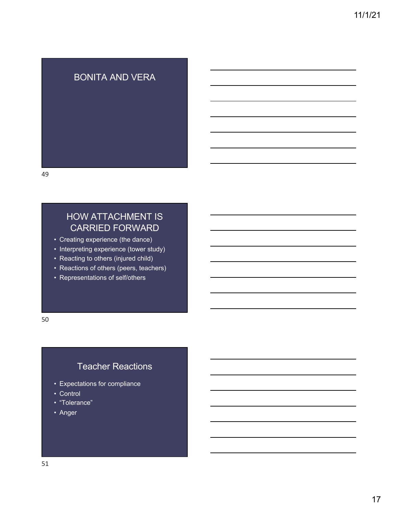# BONITA AND VERA

# HOW ATTACHMENT IS CARRIED FORWARD

- Creating experience (the dance)
- Interpreting experience (tower study)
- Reacting to others (injured child)
- Reactions of others (peers, teachers)
- Representations of self/others

50

# Teacher Reactions

- Expectations for compliance
- Control
- "Tolerance"
- Anger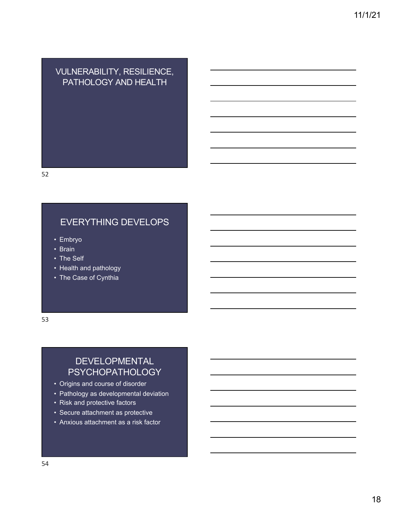# VULNERABILITY, RESILIENCE, PATHOLOGY AND HEALTH

52

# EVERYTHING DEVELOPS

- Embryo
- Brain
- The Self
- Health and pathology
- The Case of Cynthia

53

# DEVELOPMENTAL PSYCHOPATHOLOGY

- Origins and course of disorder
- Pathology as developmental deviation
- Risk and protective factors
- Secure attachment as protective
- Anxious attachment as a risk factor